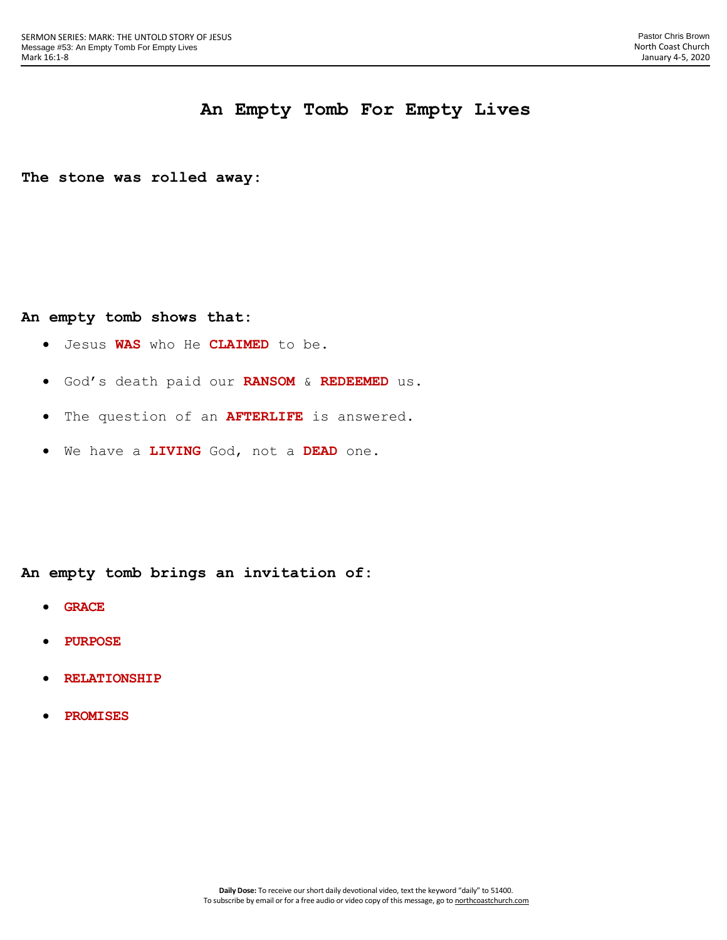## **An Empty Tomb For Empty Lives**

**The stone was rolled away:**

## **An empty tomb shows that:**

- Jesus **WAS** who He **CLAIMED** to be.
- God's death paid our **RANSOM** & **REDEEMED** us.
- The question of an **AFTERLIFE** is answered.
- We have a **LIVING** God, not a **DEAD** one.

**An empty tomb brings an invitation of:**

- **GRACE**
- **PURPOSE**
- **RELATIONSHIP**
- **PROMISES**